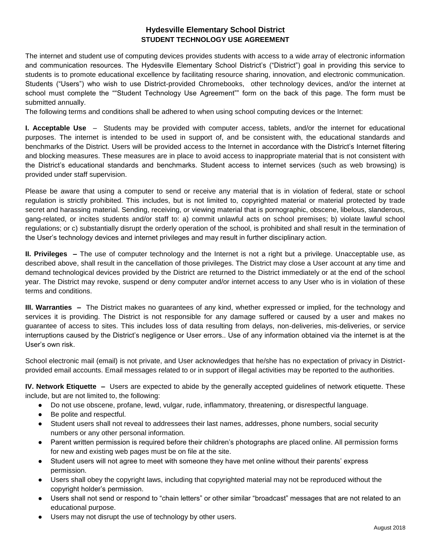## **Hydesville Elementary School District STUDENT TECHNOLOGY USE AGREEMENT**

The internet and student use of computing devices provides students with access to a wide array of electronic information and communication resources. The Hydesville Elementary School District's ("District") goal in providing this service to students is to promote educational excellence by facilitating resource sharing, innovation, and electronic communication. Students ("Users") who wish to use District-provided Chromebooks, other technology devices, and/or the internet at school must complete the ""Student Technology Use Agreement"" form on the back of this page. The form must be submitted annually.

The following terms and conditions shall be adhered to when using school computing devices or the Internet:

**I. Acceptable Use** – Students may be provided with computer access, tablets, and/or the internet for educational purposes. The internet is intended to be used in support of, and be consistent with, the educational standards and benchmarks of the District. Users will be provided access to the Internet in accordance with the District's Internet filtering and blocking measures. These measures are in place to avoid access to inappropriate material that is not consistent with the District's educational standards and benchmarks. Student access to internet services (such as web browsing) is provided under staff supervision.

Please be aware that using a computer to send or receive any material that is in violation of federal, state or school regulation is strictly prohibited. This includes, but is not limited to, copyrighted material or material protected by trade secret and harassing material. Sending, receiving, or viewing material that is pornographic, obscene, libelous, slanderous, gang-related, or incites students and/or staff to: a) commit unlawful acts on school premises; b) violate lawful school regulations; or c) substantially disrupt the orderly operation of the school, is prohibited and shall result in the termination of the User's technology devices and internet privileges and may result in further disciplinary action.

**II. Privileges –** The use of computer technology and the Internet is not a right but a privilege. Unacceptable use, as described above, shall result in the cancellation of those privileges. The District may close a User account at any time and demand technological devices provided by the District are returned to the District immediately or at the end of the school year. The District may revoke, suspend or deny computer and/or internet access to any User who is in violation of these terms and conditions.

**III. Warranties –** The District makes no guarantees of any kind, whether expressed or implied, for the technology and services it is providing. The District is not responsible for any damage suffered or caused by a user and makes no guarantee of access to sites. This includes loss of data resulting from delays, non-deliveries, mis-deliveries, or service interruptions caused by the District's negligence or User errors.. Use of any information obtained via the internet is at the User's own risk.

School electronic mail (email) is not private, and User acknowledges that he/she has no expectation of privacy in Districtprovided email accounts. Email messages related to or in support of illegal activities may be reported to the authorities.

**IV. Network Etiquette –** Users are expected to abide by the generally accepted guidelines of network etiquette. These include, but are not limited to, the following:

- Do not use obscene, profane, lewd, vulgar, rude, inflammatory, threatening, or disrespectful language.
- Be polite and respectful.
- Student users shall not reveal to addressees their last names, addresses, phone numbers, social security numbers or any other personal information.
- Parent written permission is required before their children's photographs are placed online. All permission forms for new and existing web pages must be on file at the site.
- Student users will not agree to meet with someone they have met online without their parents' express permission.
- Users shall obey the copyright laws, including that copyrighted material may not be reproduced without the copyright holder's permission.
- Users shall not send or respond to "chain letters" or other similar "broadcast" messages that are not related to an educational purpose.
- Users may not disrupt the use of technology by other users.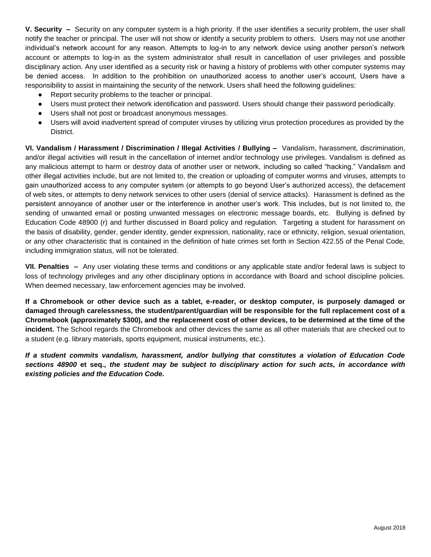**V. Security –** Security on any computer system is a high priority. If the user identifies a security problem, the user shall notify the teacher or principal. The user will not show or identify a security problem to others. Users may not use another individual's network account for any reason. Attempts to log-in to any network device using another person's network account or attempts to log-in as the system administrator shall result in cancellation of user privileges and possible disciplinary action. Any user identified as a security risk or having a history of problems with other computer systems may be denied access. In addition to the prohibition on unauthorized access to another user's account, Users have a responsibility to assist in maintaining the security of the network. Users shall heed the following guidelines:

- Report security problems to the teacher or principal.
- Users must protect their network identification and password. Users should change their password periodically.
- Users shall not post or broadcast anonymous messages.
- Users will avoid inadvertent spread of computer viruses by utilizing virus protection procedures as provided by the District.

**VI. Vandalism / Harassment / Discrimination / Illegal Activities / Bullying –** Vandalism, harassment, discrimination, and/or illegal activities will result in the cancellation of internet and/or technology use privileges. Vandalism is defined as any malicious attempt to harm or destroy data of another user or network, including so called "hacking." Vandalism and other illegal activities include, but are not limited to, the creation or uploading of computer worms and viruses, attempts to gain unauthorized access to any computer system (or attempts to go beyond User's authorized access), the defacement of web sites, or attempts to deny network services to other users (denial of service attacks). Harassment is defined as the persistent annoyance of another user or the interference in another user's work. This includes, but is not limited to, the sending of unwanted email or posting unwanted messages on electronic message boards, etc. Bullying is defined by Education Code 48900 (r) and further discussed in Board policy and regulation. Targeting a student for harassment on the basis of disability, gender, gender identity, gender expression, nationality, race or ethnicity, religion, sexual orientation, or any other characteristic that is contained in the definition of hate crimes set forth in Section 422.55 of the Penal Code, including immigration status, will not be tolerated.

**VII. Penalties –** Any user violating these terms and conditions or any applicable state and/or federal laws is subject to loss of technology privileges and any other disciplinary options in accordance with Board and school discipline policies. When deemed necessary, law enforcement agencies may be involved.

**If a Chromebook or other device such as a tablet, e-reader, or desktop computer, is purposely damaged or damaged through carelessness, the student/parent/guardian will be responsible for the full replacement cost of a Chromebook (approximately \$300), and the replacement cost of other devices, to be determined at the time of the incident.** The School regards the Chromebook and other devices the same as all other materials that are checked out to a student (e.g. library materials, sports equipment, musical instruments, etc.).

*If a student commits vandalism, harassment, and/or bullying that constitutes a violation of Education Code sections 48900* **et seq.,** *the student may be subject to disciplinary action for such acts, in accordance with existing policies and the Education Code.*